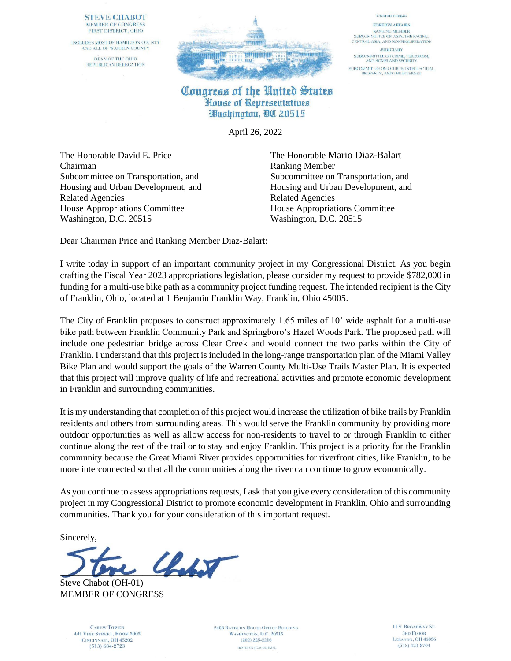### **STEVE CHABOT** MEMBER OF CONGRESS FIRST DISTRICT, OHIO

INCLUDES MOST OF HAMILTON COUNTY AND ALL OF WARREN COUNTY DEAN OF THE OHIO REPUBLICAN DELEGATION



### **COMMITTEES:**

**FOREIGN AFFAIRS RANKING MEMBER** SUBCOMMITTEE ON ASIA, THE PACIFIC, CENTRAL ASIA, AND NONPROLIFERATION

**JUDICIARY** SUBCOMMITTEE ON CRIME, TERRORISM,<br>AND HOMELAND SECURITY SUBCOMMITTEE ON COURTS, INTELLECTUAL<br>PROPERTY, AND THE INTERNET

## Congress of the United States House of Representatives Washington, QC 20515

April 26, 2022

The Honorable David E. Price The Honorable Mario Diaz-Balart Chairman Ranking Member Related Agencies Related Agencies House Appropriations Committee House Appropriations Committee Washington, D.C. 20515 Washington, D.C. 20515

Subcommittee on Transportation, and Subcommittee on Transportation, and Housing and Urban Development, and Housing and Urban Development, and

Dear Chairman Price and Ranking Member Diaz-Balart:

I write today in support of an important community project in my Congressional District. As you begin crafting the Fiscal Year 2023 appropriations legislation, please consider my request to provide \$782,000 in funding for a multi-use bike path as a community project funding request. The intended recipient is the City of Franklin, Ohio, located at 1 Benjamin Franklin Way, Franklin, Ohio 45005.

The City of Franklin proposes to construct approximately 1.65 miles of 10' wide asphalt for a multi-use bike path between Franklin Community Park and Springboro's Hazel Woods Park. The proposed path will include one pedestrian bridge across Clear Creek and would connect the two parks within the City of Franklin. I understand that this project is included in the long-range transportation plan of the Miami Valley Bike Plan and would support the goals of the Warren County Multi-Use Trails Master Plan. It is expected that this project will improve quality of life and recreational activities and promote economic development in Franklin and surrounding communities.

It is my understanding that completion of this project would increase the utilization of bike trails by Franklin residents and others from surrounding areas. This would serve the Franklin community by providing more outdoor opportunities as well as allow access for non-residents to travel to or through Franklin to either continue along the rest of the trail or to stay and enjoy Franklin. This project is a priority for the Franklin community because the Great Miami River provides opportunities for riverfront cities, like Franklin, to be more interconnected so that all the communities along the river can continue to grow economically.

As you continue to assess appropriations requests, I ask that you give every consideration of this community project in my Congressional District to promote economic development in Franklin, Ohio and surrounding communities. Thank you for your consideration of this important request.

Sincerely,



Steve Chabot (OH-01) MEMBER OF CONGRESS

> **CAREW TOWER 441 VINE STREET, ROOM 3003** CINCINNATI, OH 45202  $(513) 684 - 2723$

**2408 RAYBURN HOUSE OFFICE BUILDING** WASHINGTON, D.C. 20515  $(202)$  225-2216 PRINTED ON RECYCLED PAPER

11 S. BROADWAY ST. **3RD FLOOR** LEBANON, OH 45036  $(513)$  421-8704